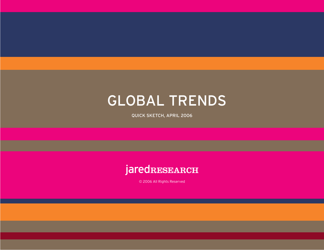### GLOBAL TRENDS

QUICK SKETCH, APRIL 2006

#### **jaredRESEARCH**

© 2006 All Rights Reserved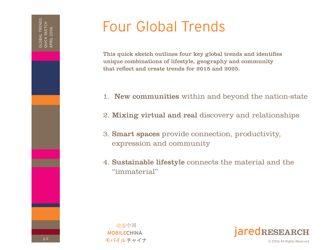# Four Global Trends

This quick sketch outlines four key global trends and identifies unique combinations of lifestyle, geography and community that reflect and create trends for 2015 and 2025.

- 1. New communities within and beyond the nation-state
- 2. Mixing virtual and real discovery and relationships
- 3. Smart spaces provide connection, productivity, expression and community
- 4. Sustainable lifestyle connects the material and the "immaterial"



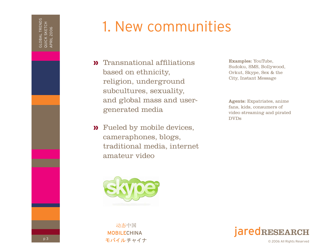# 1. New communities

- **»** Transnational affiliations based on ethnicity, religion, underground subcultures, sexuality, and global mass and usergenerated media
- Fueled by mobile devices, » cameraphones, blogs, traditional media, internet amateur video



动态中国 **MOBILECHINA** モバイルチャイナ Examples: YouTube, Sudoku, SMS, Bollywood, Orkut, Skype, Sex & the City, Instant Message

Agents: Expatriates, anime fans, kids, consumers of video streaming and pirated DVDs

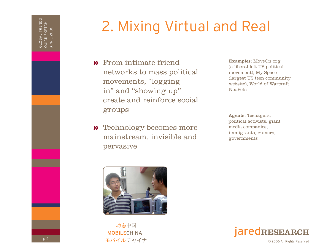# 2. Mixing Virtual and Real

- From intimate friend » networks to mass political movements, "logging in" and "showing up" create and reinforce social groups
- **»** Technology becomes more mainstream, invisible and pervasive

Examples: MoveOn.org (a liberal-left US political movement), My Space (largest US teen community website), World of Warcraft, NeoPets

Agents: Teenagers, political activists, giant media companies, immigrants, gamers, governments



动态中国 **MOBILECHINA** モバイルチャイナ

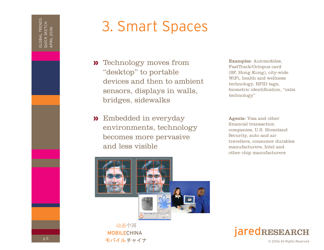# 3. Smart Spaces

- **»** Technology moves from "desktop" to portable devices and then to ambient sensors, displays in walls, bridges, sidewalks
- Embedded in everyday » Agents: Visa and other environments, technology becomes more pervasive and less visible

Examples: Automobiles, FastTrack/Octopus card (SF, Hong Kong), city-wide WiFi, health and wellness technology, RFID tags, biometric identification, "calm technology"

financial transaction companies, U.S. Homeland Security, auto and air travellers, consumer durables manufacturers, Intel and other chip manufacturers



动态中国 **MOBILECHINA** モバイルチャイナ

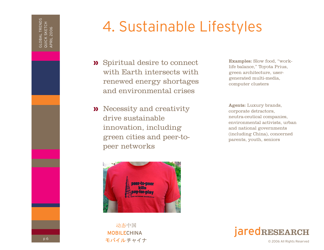# 4. Sustainable Lifestyles

- Spiritual desire to connect » with Earth intersects with renewed energy shortages and environmental crises
- **Necessity and creativity Agents:** Luxury brands, drive sustainable innovation, including green cities and peer-topeer networks



动态中国 **MOBILECHINA** モバイルチャイナ

Examples: Slow food, "worklife balance," Toyota Prius, green architecture, usergenerated multi-media, computer clusters

corporate detractors, neutra-ceutical companies, environmental activists, urban and national governments (including China), concerned parents, youth, seniors

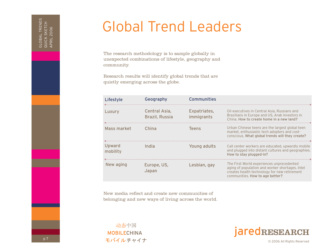### Global Trend Leaders

The research methodology is to sample globally in unexpected combinations of lifestyle, geography and community.

Research results will identify global trends that are quietly emerging across the globe.

| Lifestyle          | Geography                              | <b>Communities</b>         |                                                                                                                                                                                 |
|--------------------|----------------------------------------|----------------------------|---------------------------------------------------------------------------------------------------------------------------------------------------------------------------------|
| Luxury             | Central Asia,<br><b>Brazil, Russia</b> | Expatriates,<br>immigrants | Oil executives in Central Asia, Russians and<br>Brazilians in Europe and US, Arab investors in<br>China. How to create home in a new land?                                      |
| Mass market        | China                                  | <b>Teens</b>               | Urban Chinese teens are the largest global teen<br>market, enthusiastic tech adopters and cost-<br>conscious. What global trends will they create?                              |
| Upward<br>mobility | India                                  | Young adults               | Call center workers are educated, upwardly mobile<br>and plugged into distant cultures and geographies.<br>How to stay plugged-in?                                              |
| New aging          | Europe, US,<br>Japan                   | Lesbian, gay               | The First World experiences unprecedented<br>aging of population and worker shortages. Intel<br>creates health technology for new retirement<br>communities. How to age better? |

New media reflect and create new communities of belonging and new ways of living across the world.

动态中国 **MOBILECHINA** モバイルチャイナ



GLOBAL TRENDS QUICK SKETCH APRIL 2006

GLOBAL TRENDS<br>QUICK SKETCH<br>APRIL 2006